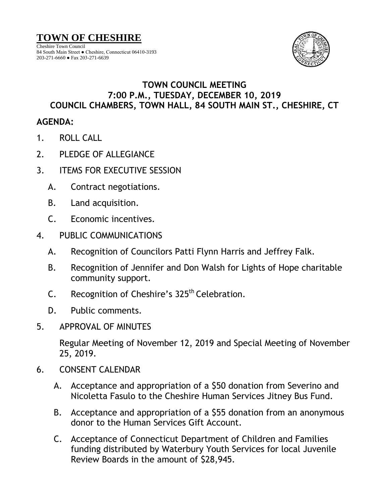Cheshire Town Council 84 South Main Street ● Cheshire, Connecticut 06410-3193 203-271-6660 ● Fax 203-271-6639



## **TOWN COUNCIL MEETING 7:00 P.M., TUESDAY, DECEMBER 10, 2019 COUNCIL CHAMBERS, TOWN HALL, 84 SOUTH MAIN ST., CHESHIRE, CT**

## **AGENDA:**

- 1. ROLL CALL
- 2. PLEDGE OF ALLEGIANCE
- 3. ITEMS FOR EXECUTIVE SESSION
	- A. Contract negotiations.
	- B. Land acquisition.
	- C. Economic incentives.
- 4. PUBLIC COMMUNICATIONS
	- A. Recognition of Councilors Patti Flynn Harris and Jeffrey Falk.
	- B. Recognition of Jennifer and Don Walsh for Lights of Hope charitable community support.
	- C. Recognition of Cheshire's 325<sup>th</sup> Celebration.
	- D. Public comments.
- 5. APPROVAL OF MINUTES

Regular Meeting of November 12, 2019 and Special Meeting of November 25, 2019.

- 6. CONSENT CALENDAR
	- A. Acceptance and appropriation of a \$50 donation from Severino and Nicoletta Fasulo to the Cheshire Human Services Jitney Bus Fund.
	- B. Acceptance and appropriation of a \$55 donation from an anonymous donor to the Human Services Gift Account.
	- C. Acceptance of Connecticut Department of Children and Families funding distributed by Waterbury Youth Services for local Juvenile Review Boards in the amount of \$28,945.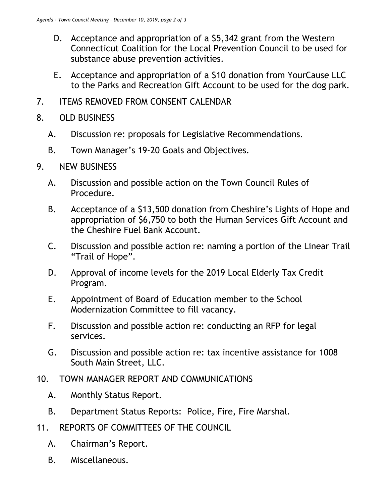- D. Acceptance and appropriation of a \$5,342 grant from the Western Connecticut Coalition for the Local Prevention Council to be used for substance abuse prevention activities.
- E. Acceptance and appropriation of a \$10 donation from YourCause LLC to the Parks and Recreation Gift Account to be used for the dog park.
- 7. ITEMS REMOVED FROM CONSENT CALENDAR
- 8. OLD BUSINESS
	- A. Discussion re: proposals for Legislative Recommendations.
	- B. Town Manager's 19-20 Goals and Objectives.
- 9. NEW BUSINESS
	- A. Discussion and possible action on the Town Council Rules of Procedure.
	- B. Acceptance of a \$13,500 donation from Cheshire's Lights of Hope and appropriation of \$6,750 to both the Human Services Gift Account and the Cheshire Fuel Bank Account.
	- C. Discussion and possible action re: naming a portion of the Linear Trail "Trail of Hope".
	- D. Approval of income levels for the 2019 Local Elderly Tax Credit Program.
	- E. Appointment of Board of Education member to the School Modernization Committee to fill vacancy.
	- F. Discussion and possible action re: conducting an RFP for legal services.
	- G. Discussion and possible action re: tax incentive assistance for 1008 South Main Street, LLC.
- 10. TOWN MANAGER REPORT AND COMMUNICATIONS
	- A. Monthly Status Report.
	- B. Department Status Reports: Police, Fire, Fire Marshal.
- 11. REPORTS OF COMMITTEES OF THE COUNCIL
	- A. Chairman's Report.
	- B. Miscellaneous.